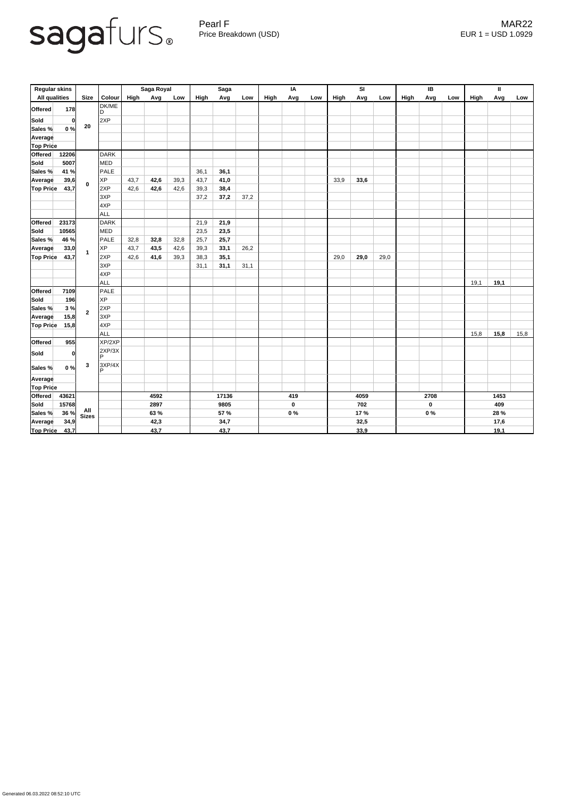

Pearl F MAR22 Price Breakdown (USD) error and the USD 1.0929

| <b>Regular skins</b> |       |                         |               | Saga Royal |       |      | <b>Saga</b> |             |      | IA   |           |      | SI   |      |      | IB   |             |      | $\mathbf{I}$ |      |      |  |
|----------------------|-------|-------------------------|---------------|------------|-------|------|-------------|-------------|------|------|-----------|------|------|------|------|------|-------------|------|--------------|------|------|--|
| <b>All qualities</b> |       | <b>Size</b>             | <b>Colour</b> | High       | Avg   | Low  | High        | Avg         | Low  | High | Avg       | Low  | High | Avg  | Low  | High | Avg         | Low  | High         | Avg  | Low  |  |
| <b>Offered</b>       | 178   |                         | DK/ME<br>D    |            |       |      |             |             |      |      |           |      |      |      |      |      |             |      |              |      |      |  |
| Sold                 | 0     | 20                      | 2XP           |            |       |      |             |             |      |      |           |      |      |      |      |      |             |      |              |      |      |  |
| Sales %              | 0%    |                         |               |            |       |      |             |             |      |      |           |      |      |      |      |      |             |      |              |      |      |  |
| Average              |       |                         |               |            |       |      |             |             |      |      |           |      |      |      |      |      |             |      |              |      |      |  |
| <b>Top Price</b>     |       |                         |               |            |       |      |             |             |      |      |           |      |      |      |      |      |             |      |              |      |      |  |
| Offered              | 12206 |                         | <b>DARK</b>   |            |       |      |             |             |      |      |           |      |      |      |      |      |             |      |              |      |      |  |
| Sold                 | 5007  | $\mathbf 0$             | <b>MED</b>    |            |       |      |             |             |      |      |           |      |      |      |      |      |             |      |              |      |      |  |
| Sales %              | 41 %  |                         | PALE          |            |       |      | 36,1        | 36,1        |      |      |           |      |      |      |      |      |             |      |              |      |      |  |
| Average              | 39,6  |                         | <b>XP</b>     | 43,7       | 42,6  | 39,3 | 43,7        | 41,0        |      |      |           |      | 33,9 | 33,6 |      |      |             |      |              |      |      |  |
| <b>Top Price</b>     | 43,7  |                         | 2XP           | 42,6       | 42,6  | 42,6 | 39,3        | 38,4        |      |      |           |      |      |      |      |      |             |      |              |      |      |  |
|                      |       |                         | 3XP           |            |       |      | 37,2        | 37,2        | 37,2 |      |           |      |      |      |      |      |             |      |              |      |      |  |
|                      |       |                         | 4XP           |            |       |      |             |             |      |      |           |      |      |      |      |      |             |      |              |      |      |  |
|                      |       |                         | ALL           |            |       |      |             |             |      |      |           |      |      |      |      |      |             |      |              |      |      |  |
| <b>Offered</b>       | 23173 | $\overline{\mathbf{1}}$ | <b>DARK</b>   |            |       |      | 21,9        | 21,9        |      |      |           |      |      |      |      |      |             |      |              |      |      |  |
| <b>Sold</b>          | 10565 |                         | <b>MED</b>    |            |       |      | 23,5        | 23,5        |      |      |           |      |      |      |      |      |             |      |              |      |      |  |
| Sales %              | 46 %  |                         | PALE          | 32,8       | 32,8  | 32,8 | 25,7        | 25,7        |      |      |           |      |      |      |      |      |             |      |              |      |      |  |
| Average              | 33,0  |                         | <b>XP</b>     | 43,7       | 43,5  | 42,6 | 39,3        | 33,1        | 26,2 |      |           |      |      |      |      |      |             |      |              |      |      |  |
| <b>Top Price</b>     | 43,7  |                         | 2XP           | 42,6       | 41,6  | 39,3 | 38,3        | 35,1        |      |      |           |      | 29,0 | 29,0 | 29,0 |      |             |      |              |      |      |  |
|                      |       |                         | 3XP           |            |       |      | 31,1        | 31,1        | 31,1 |      |           |      |      |      |      |      |             |      |              |      |      |  |
|                      |       |                         | 4XP           |            |       |      |             |             |      |      |           |      |      |      |      |      |             |      |              |      |      |  |
|                      |       |                         | ALL           |            |       |      |             |             |      |      |           |      |      |      |      |      |             |      | 19,1         | 19,1 |      |  |
| <b>Offered</b>       | 7109  | $\overline{2}$          | PALE          |            |       |      |             |             |      |      |           |      |      |      |      |      |             |      |              |      |      |  |
| Sold                 | 196   |                         | <b>XP</b>     |            |       |      |             |             |      |      |           |      |      |      |      |      |             |      |              |      |      |  |
| Sales %              | 3%    |                         | 2XP           |            |       |      |             |             |      |      |           |      |      |      |      |      |             |      |              |      |      |  |
| Average              | 15,8  |                         | 3XP           |            |       |      |             |             |      |      |           |      |      |      |      |      |             |      |              |      |      |  |
| <b>Top Price</b>     | 15,8  |                         | 4XP           |            |       |      |             |             |      |      |           |      |      |      |      |      |             |      |              |      |      |  |
|                      |       |                         | ALL           |            |       |      |             |             |      |      |           |      |      |      |      |      |             |      | 15,8         | 15,8 | 15,8 |  |
| <b>Offered</b>       | 955   |                         | XP/2XP        |            |       |      |             |             |      |      |           |      |      |      |      |      |             |      |              |      |      |  |
| Sold                 | 0     |                         | 2XP/3X<br>P   |            |       |      |             |             |      |      |           |      |      |      |      |      |             |      |              |      |      |  |
| Sales %              | 0%    | $\mathbf{3}$            | 3XP/4X<br>D   |            |       |      |             |             |      |      |           |      |      |      |      |      |             |      |              |      |      |  |
| Average              |       |                         |               |            |       |      |             |             |      |      |           |      |      |      |      |      |             |      |              |      |      |  |
| <b>Top Price</b>     |       |                         |               |            |       |      |             |             |      |      |           |      |      |      |      |      |             |      |              |      |      |  |
| <b>Offered</b>       | 43621 |                         | 4592          |            | 17136 |      | 419         |             | 4059 |      |           | 2708 |      | 1453 |      |      |             |      |              |      |      |  |
| Sold                 | 15768 | All<br>Sizes            |               | 2897       |       |      | 9805        |             |      |      | $\pmb{0}$ |      |      | 702  |      |      | $\mathbf 0$ |      |              | 409  |      |  |
| Sales %              | 36 %  |                         |               |            | 63 %  |      |             | <b>57 %</b> |      |      | $0\%$     |      |      | 17 % |      |      | $0\%$       |      |              | 28 % |      |  |
| Average              | 34,9  |                         |               | 42,3       |       |      | 34,7        |             |      |      |           |      | 32,5 |      |      |      |             |      | 17,6         |      |      |  |
| <b>Top Price</b>     | 43,7  |                         |               | 43,7       |       |      | 43,7        |             |      |      |           |      |      | 33,9 |      |      |             | 19,1 |              |      |      |  |